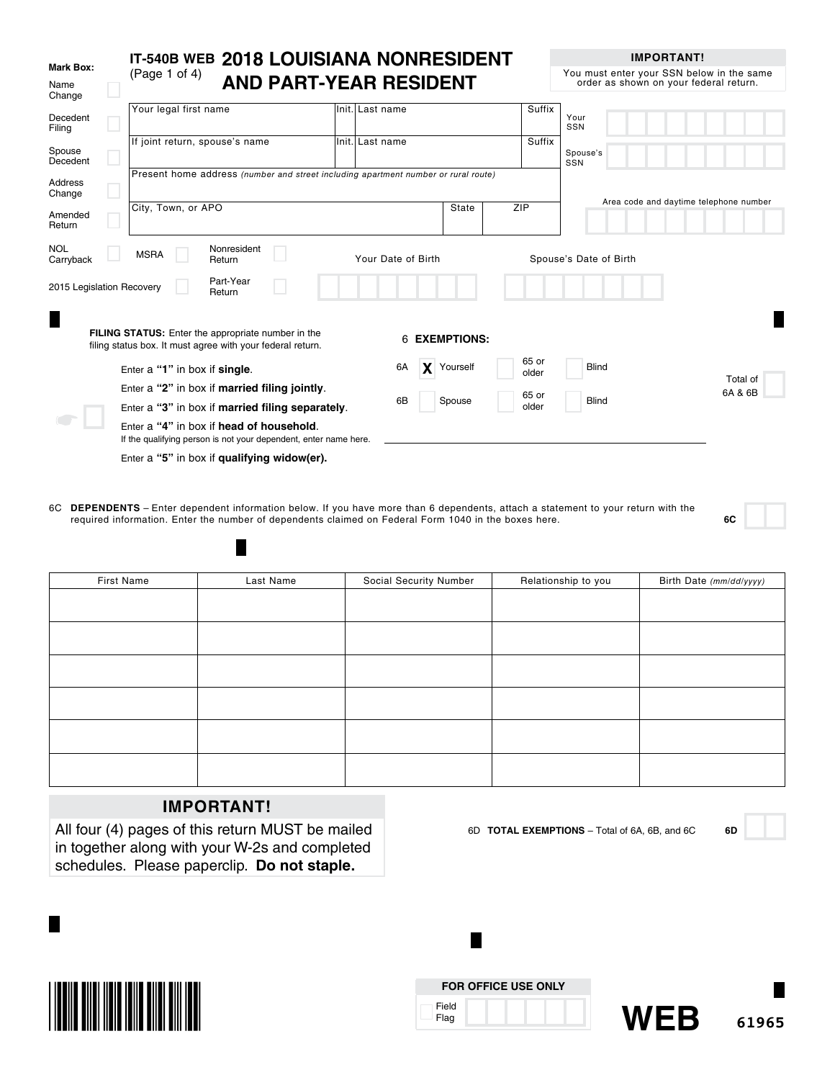|                             | IT-540B WEB 2018 LOUISIANA NONRESIDENT                                                                                  |                 |                         |                | <b>IMPORTANT!</b>                                                                   |                                        |
|-----------------------------|-------------------------------------------------------------------------------------------------------------------------|-----------------|-------------------------|----------------|-------------------------------------------------------------------------------------|----------------------------------------|
| Mark Box:<br>Name<br>Change | (Page 1 of 4)<br><b>AND PART-YEAR RESIDENT</b>                                                                          |                 |                         |                | You must enter your SSN below in the same<br>order as shown on your federal return. |                                        |
| Decedent<br>Filing          | Your legal first name                                                                                                   | Init. Last name |                         | Suffix         | Your<br>SSN                                                                         |                                        |
| Spouse<br>Decedent          | If joint return, spouse's name                                                                                          | Init. Last name |                         | Suffix         | Spouse's<br>SSN                                                                     |                                        |
| <b>Address</b><br>Change    | Present home address (number and street including apartment number or rural route)                                      |                 |                         |                |                                                                                     | Area code and daytime telephone number |
| Amended<br>Return           | City, Town, or APO                                                                                                      |                 | State                   | <b>ZIP</b>     |                                                                                     |                                        |
| <b>NOL</b><br>Carryback     | Nonresident<br><b>MSRA</b><br>Return                                                                                    |                 | Your Date of Birth      |                | Spouse's Date of Birth                                                              |                                        |
| 2015 Legislation Recovery   | Part-Year<br>Return                                                                                                     |                 |                         |                |                                                                                     |                                        |
| Π                           | <b>FILING STATUS:</b> Enter the appropriate number in the<br>filing status box. It must agree with your federal return. |                 | <b>EXEMPTIONS:</b><br>6 |                |                                                                                     |                                        |
|                             | Enter a "1" in box if single.                                                                                           |                 | 6A<br>Yourself          | 65 or<br>older | <b>Blind</b>                                                                        |                                        |
|                             | Enter a "2" in box if married filing jointly.                                                                           |                 |                         | 65 or          |                                                                                     | Total of<br>6A & 6B                    |
|                             | Enter a "3" in box if married filing separately.                                                                        |                 | 6B<br>Spouse            | older          | <b>Blind</b>                                                                        |                                        |
|                             | Enter a "4" in box if head of household.<br>If the qualifying person is not your dependent, enter name here.            |                 |                         |                |                                                                                     |                                        |
|                             | Enter a "5" in box if qualifying widow(er).                                                                             |                 |                         |                |                                                                                     |                                        |

6C **DEPENDENTS** – Enter dependent information below. If you have more than 6 dependents, attach a statement to your return with the required information. Enter the number of dependents claimed on Federal Form 1040 in the boxes here. **6C**

| First Name | Last Name | Social Security Number | Relationship to you | Birth Date (mm/dd/yyyy) |
|------------|-----------|------------------------|---------------------|-------------------------|
|            |           |                        |                     |                         |
|            |           |                        |                     |                         |
|            |           |                        |                     |                         |
|            |           |                        |                     |                         |
|            |           |                        |                     |                         |
|            |           |                        |                     |                         |
|            |           |                        |                     |                         |
|            |           |                        |                     |                         |
|            |           |                        |                     |                         |
|            |           |                        |                     |                         |
|            |           |                        |                     |                         |
|            |           |                        |                     |                         |

# **IMPORTANT!**

П

All four (4) pages of this return MUST be mailed in together along with your W-2s and completed schedules. Please paperclip. **Do not staple.**



6D **TOTAL EXEMPTIONS** – Total of 6A, 6B, and 6C **6D**

**FOR OFFICE USE ONLY** Field

L.

Flag

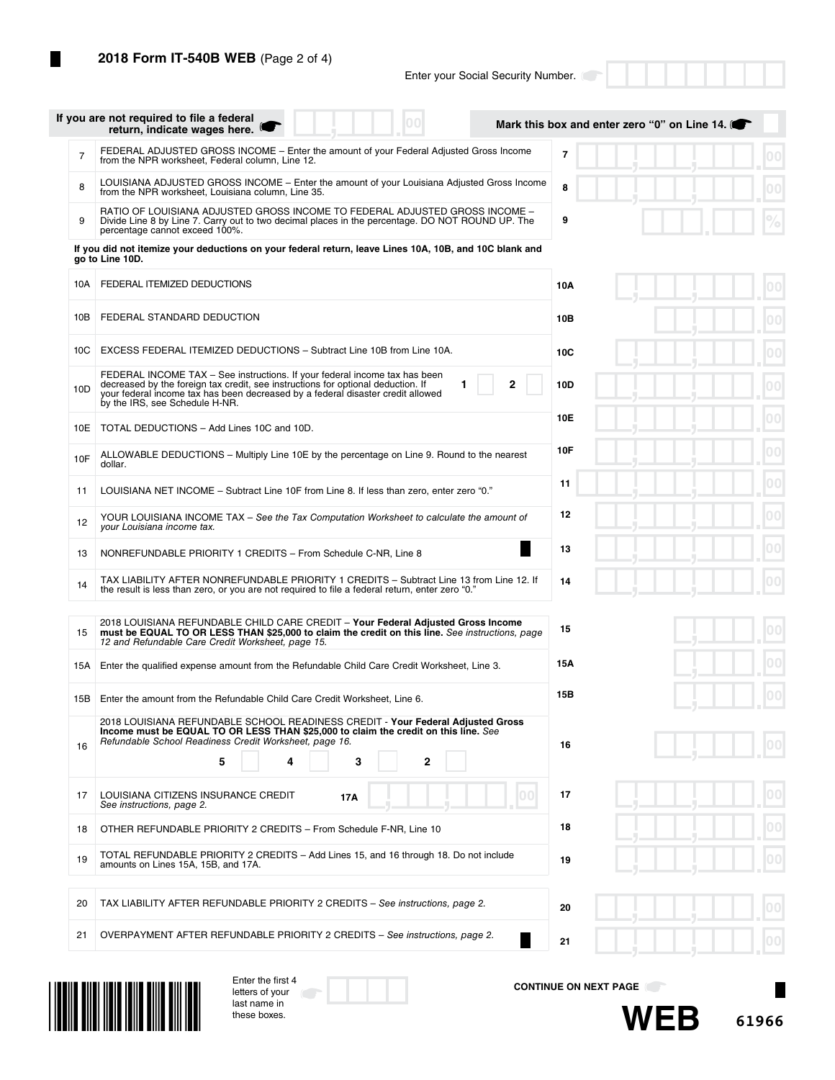|                 | If you are not required to file a federal<br>00<br>return, indicate wages here.                                                                                                                                                                                                          | Mark this box and enter zero "0" on Line 14. |
|-----------------|------------------------------------------------------------------------------------------------------------------------------------------------------------------------------------------------------------------------------------------------------------------------------------------|----------------------------------------------|
| $\overline{7}$  | FEDERAL ADJUSTED GROSS INCOME – Enter the amount of your Federal Adjusted Gross Income<br>from the NPR worksheet, Federal column, Line 12.                                                                                                                                               | $\overline{7}$                               |
| 8               | LOUISIANA ADJUSTED GROSS INCOME - Enter the amount of your Louisiana Adjusted Gross Income<br>from the NPR worksheet, Louisiana column, Line 35.                                                                                                                                         | 8                                            |
| 9               | RATIO OF LOUISIANA ADJUSTED GROSS INCOME TO FEDERAL ADJUSTED GROSS INCOME -<br>Divide Line 8 by Line 7. Carry out to two decimal places in the percentage. DO NOT ROUND UP. The<br>percentage cannot exceed 100%.                                                                        | 9                                            |
|                 | If you did not itemize your deductions on your federal return, leave Lines 10A, 10B, and 10C blank and<br>go to Line 10D.                                                                                                                                                                |                                              |
| 10A             | FEDERAL ITEMIZED DEDUCTIONS                                                                                                                                                                                                                                                              | 10A                                          |
| 10B             | FEDERAL STANDARD DEDUCTION                                                                                                                                                                                                                                                               | 10B                                          |
| 10C             | EXCESS FEDERAL ITEMIZED DEDUCTIONS - Subtract Line 10B from Line 10A.                                                                                                                                                                                                                    | 10C                                          |
| 10 <sub>D</sub> | FEDERAL INCOME TAX - See instructions. If your federal income tax has been<br>2<br>decreased by the foreign tax credit, see instructions for optional deduction. If<br>your federal income tax has been decreased by a federal disaster credit allowed<br>by the IRS, see Schedule H-NR. | 10D                                          |
| 10E             | TOTAL DEDUCTIONS - Add Lines 10C and 10D.                                                                                                                                                                                                                                                | 10E                                          |
| 10F             | ALLOWABLE DEDUCTIONS - Multiply Line 10E by the percentage on Line 9. Round to the nearest<br>dollar.                                                                                                                                                                                    | 10F                                          |
| 11              | LOUISIANA NET INCOME - Subtract Line 10F from Line 8. If less than zero, enter zero "0."                                                                                                                                                                                                 | 11                                           |
| 12              | YOUR LOUISIANA INCOME TAX - See the Tax Computation Worksheet to calculate the amount of<br>your Louisiana income tax.                                                                                                                                                                   | 12                                           |
| 13              | ×<br>NONREFUNDABLE PRIORITY 1 CREDITS - From Schedule C-NR, Line 8                                                                                                                                                                                                                       | 13                                           |
| 14              | TAX LIABILITY AFTER NONREFUNDABLE PRIORITY 1 CREDITS - Subtract Line 13 from Line 12. If<br>the result is less than zero, or you are not required to file a federal return, enter zero "0."                                                                                              | 14                                           |
| 15              | 2018 LOUISIANA REFUNDABLE CHILD CARE CREDIT - Your Federal Adjusted Gross Income<br>must be EQUAL TO OR LESS THAN \$25,000 to claim the credit on this line. See instructions, page<br>12 and Refundable Care Credit Worksheet, page 15.                                                 | 15                                           |
| 15A             | Enter the qualified expense amount from the Refundable Child Care Credit Worksheet, Line 3.                                                                                                                                                                                              | 15Α                                          |
| 15B             | Enter the amount from the Refundable Child Care Credit Worksheet, Line 6.                                                                                                                                                                                                                | 15B                                          |
| 16              | 2018 LOUISIANA REFUNDABLE SCHOOL READINESS CREDIT - Your Federal Adjusted Gross<br>Income must be EQUAL TO OR LESS THAN \$25,000 to claim the credit on this line. See<br>Refundable School Readiness Credit Worksheet, page 16.<br>5<br>3<br>2<br>4                                     | 16                                           |
| 17              | LOUISIANA CITIZENS INSURANCE CREDIT<br>00.<br>17A<br>See instructions, page 2.                                                                                                                                                                                                           | 17                                           |
| 18              | OTHER REFUNDABLE PRIORITY 2 CREDITS - From Schedule F-NR, Line 10                                                                                                                                                                                                                        | 18                                           |
| 19              | TOTAL REFUNDABLE PRIORITY 2 CREDITS - Add Lines 15, and 16 through 18. Do not include<br>amounts on Lines 15A, 15B, and 17A.                                                                                                                                                             | 19                                           |
| 20              | TAX LIABILITY AFTER REFUNDABLE PRIORITY 2 CREDITS - See instructions, page 2.                                                                                                                                                                                                            | 20                                           |
| 21              | OVERPAYMENT AFTER REFUNDABLE PRIORITY 2 CREDITS - See instructions, page 2.                                                                                                                                                                                                              | 21                                           |



| Enter the first 4 |  |
|-------------------|--|
| letters of your   |  |
| last name in      |  |
| these boxes.      |  |

**CONTINUE ON NEXT PAGE**

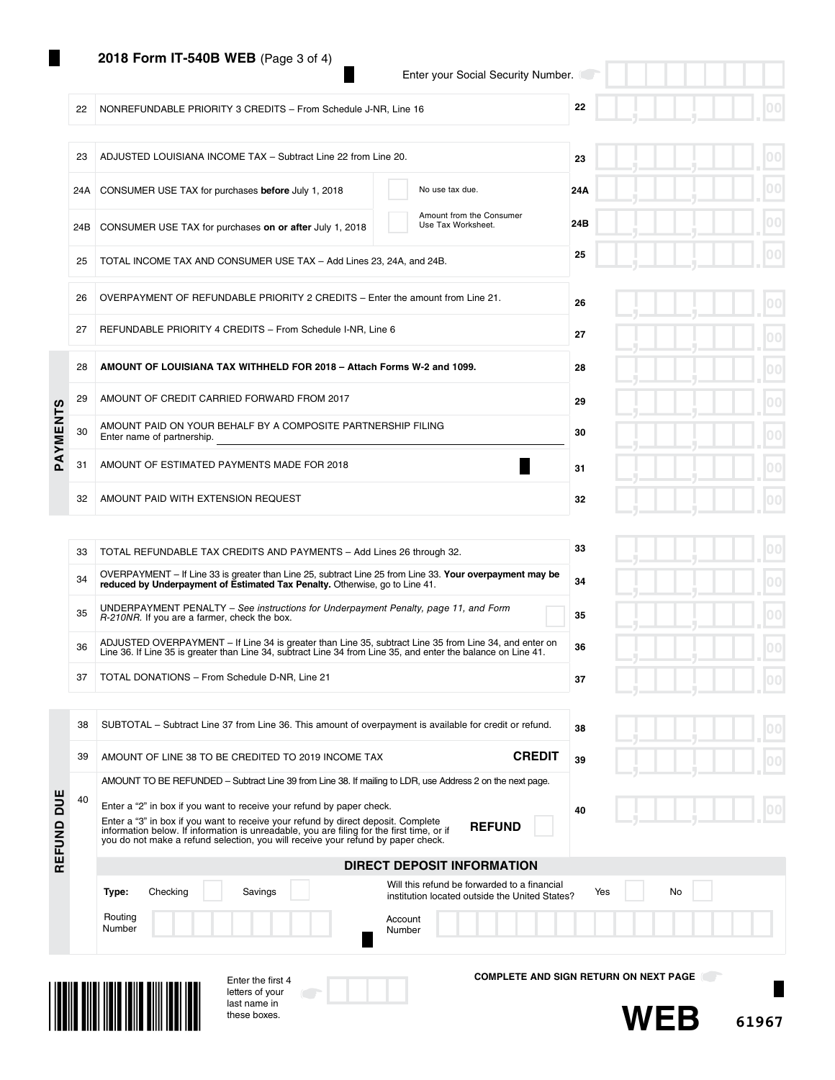## **2018 Form IT-540B WEB** (Page 3 of 4)

22 NONREFUNDABLE PRIORITY 3 CREDITS – From Schedule J-NR, Line 16

23 ADJUSTED LOUISIANA INCOME TAX - Subtract Line 22 from Line 20.

Enter your Social Security Number.

# **22**

**23**

|  |  |  | $\sim$ | $ 00\rangle$ |
|--|--|--|--------|--------------|
|  |  |  |        |              |
|  |  |  |        | $ 00\rangle$ |
|  |  |  |        |              |

|          |    | 24A CONSUMER USE TAX for purchases before July 1, 2018                                     | No use tax due.                                | 24A |
|----------|----|--------------------------------------------------------------------------------------------|------------------------------------------------|-----|
|          |    | 24B CONSUMER USE TAX for purchases on or after July 1, 2018                                | Amount from the Consumer<br>Use Tax Worksheet. | 24B |
|          | 25 | TOTAL INCOME TAX AND CONSUMER USE TAX - Add Lines 23, 24A, and 24B.                        |                                                | 25  |
|          | 26 | OVERPAYMENT OF REFUNDABLE PRIORITY 2 CREDITS – Enter the amount from Line 21.              |                                                | 26  |
|          | 27 | REFUNDABLE PRIORITY 4 CREDITS - From Schedule I-NR, Line 6                                 |                                                | 27  |
|          | 28 | AMOUNT OF LOUISIANA TAX WITHHELD FOR 2018 - Attach Forms W-2 and 1099.                     |                                                | 28  |
|          | 29 | AMOUNT OF CREDIT CARRIED FORWARD FROM 2017                                                 |                                                | 29  |
| PAYMENTS | 30 | AMOUNT PAID ON YOUR BEHALF BY A COMPOSITE PARTNERSHIP FILING<br>Enter name of partnership. |                                                | 30  |
|          | 31 | AMOUNT OF ESTIMATED PAYMENTS MADE FOR 2018                                                 |                                                | 31  |
|          | 32 | AMOUNT PAID WITH EXTENSION REQUEST                                                         |                                                | 32  |

39 AMOUNT OF LINE 38 TO BE CREDITED TO 2019 INCOME TAX **CREDIT**

AMOUNT TO BE REFUNDED – Subtract Line 39 from Line 38. If mailing to LDR, use Address 2 on the next page.

|    |   | 00<br>г                      |
|----|---|------------------------------|
|    |   | 00                           |
|    |   | 00                           |
|    |   | $ 00\rangle$                 |
|    |   | $ 00\rangle$                 |
|    |   | 00                           |
| л. | л | 0 <sub>0</sub><br><b>COL</b> |

| 33 | TOTAL REFUNDABLE TAX CREDITS AND PAYMENTS - Add Lines 26 through 32.                                                                                                                                                    | 33 |  |  |
|----|-------------------------------------------------------------------------------------------------------------------------------------------------------------------------------------------------------------------------|----|--|--|
| 34 | OVERPAYMENT - If Line 33 is greater than Line 25, subtract Line 25 from Line 33. Your overpayment may be<br>reduced by Underpayment of Estimated Tax Penalty. Otherwise, go to Line 41.                                 | 34 |  |  |
| 35 | UNDERPAYMENT PENALTY – See instructions for Underpayment Penalty, page 11, and Form<br>R-210NR. If you are a farmer, check the box.                                                                                     | 35 |  |  |
| 36 | ADJUSTED OVERPAYMENT - If Line 34 is greater than Line 35, subtract Line 35 from Line 34, and enter on<br>Line 36. If Line 35 is greater than Line 34, subtract Line 34 from Line 35, and enter the balance on Line 41. | 36 |  |  |
| 37 | TOTAL DONATIONS - From Schedule D-NR, Line 21                                                                                                                                                                           | 37 |  |  |
|    |                                                                                                                                                                                                                         |    |  |  |
| 38 | SUBTOTAL – Subtract Line 37 from Line 36. This amount of overpayment is available for credit or refund.                                                                                                                 | 38 |  |  |

|  |  | ٦<br>. . |
|--|--|----------|

| DUE<br>REFUND | 40 | Enter a "2" in box if you want to receive your refund by paper check.<br>Enter a "3" in box if you want to receive your refund by direct deposit. Complete<br>information below. If information is unreadable, you are filing for the first time, or if<br>you do not make a refund selection, you will receive your refund by paper check. | 40<br><b>REFUND</b>                                                                                         |
|---------------|----|---------------------------------------------------------------------------------------------------------------------------------------------------------------------------------------------------------------------------------------------------------------------------------------------------------------------------------------------|-------------------------------------------------------------------------------------------------------------|
|               |    |                                                                                                                                                                                                                                                                                                                                             | <b>DIRECT DEPOSIT INFORMATION</b>                                                                           |
|               |    | Savings<br>Checking<br>Type:                                                                                                                                                                                                                                                                                                                | Will this refund be forwarded to a financial<br>No<br>Yes<br>institution located outside the United States? |
|               |    | Routing<br>Number                                                                                                                                                                                                                                                                                                                           | Account<br>Number                                                                                           |
|               |    | Enter the first 4                                                                                                                                                                                                                                                                                                                           | <b>COMPLETE AND SIGN RETURN ON NEXT PAGE</b>                                                                |



DUE

letters of your last name in these boxes.

**COMPLETE AND SIGN RETURN ON NEXT PAGE**

**39**



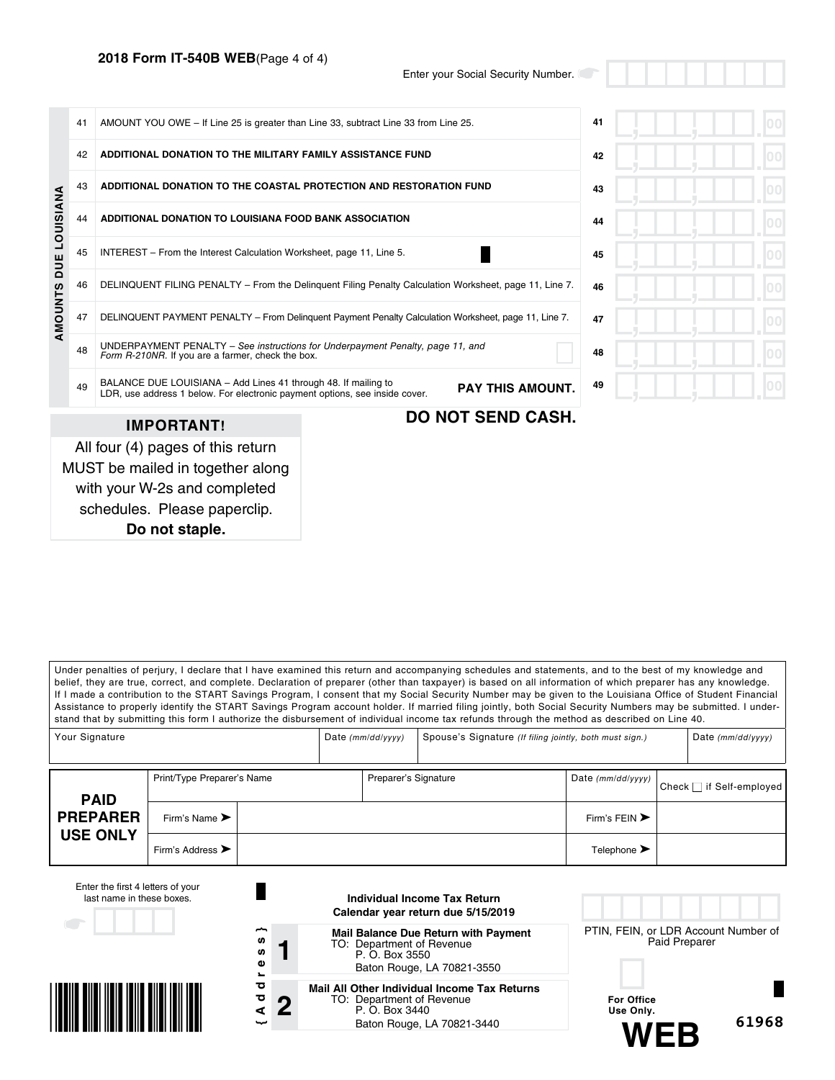# **2018 Form IT-540B WEB**(Page 4 of 4)

Enter your Social Security Number.

|                      | 41<br>42 | AMOUNT YOU OWE - If Line 25 is greater than Line 33, subtract Line 33 from Line 25.<br>ADDITIONAL DONATION TO THE MILITARY FAMILY ASSISTANCE FUND                        | 42 |
|----------------------|----------|--------------------------------------------------------------------------------------------------------------------------------------------------------------------------|----|
|                      |          |                                                                                                                                                                          |    |
|                      | 43       | ADDITIONAL DONATION TO THE COASTAL PROTECTION AND RESTORATION FUND                                                                                                       | 43 |
|                      | 44       | ADDITIONAL DONATION TO LOUISIANA FOOD BANK ASSOCIATION                                                                                                                   | 44 |
| <b>DUE LOUISIANA</b> | 45       | INTEREST – From the Interest Calculation Worksheet, page 11, Line 5.                                                                                                     | 45 |
|                      | 46       | DELINQUENT FILING PENALTY - From the Delinguent Filing Penalty Calculation Worksheet, page 11, Line 7.                                                                   | 46 |
| AMOUNTS              | 47       | DELINQUENT PAYMENT PENALTY - From Delinquent Payment Penalty Calculation Worksheet, page 11, Line 7.                                                                     | 47 |
|                      | 48       | UNDERPAYMENT PENALTY - See instructions for Underpayment Penalty, page 11, and<br>Form R-210NR. If you are a farmer, check the box.                                      | 48 |
|                      | 49       | BALANCE DUE LOUISIANA - Add Lines 41 through 48. If mailing to<br><b>PAY THIS AMOUNT.</b><br>LDR, use address 1 below. For electronic payment options, see inside cover. | 49 |
|                      |          | <b>DO NOT SEND CASH.</b><br><b>IMPORTANT!</b>                                                                                                                            |    |
|                      |          | All four (4) pages of this return<br>MUST be mailed in together along<br>with your W-2s and completed<br>schedules. Please paperclip.                                    |    |

**Do not staple.**

Under penalties of perjury, I declare that I have examined this return and accompanying schedules and statements, and to the best of my knowledge and belief, they are true, correct, and complete. Declaration of preparer (other than taxpayer) is based on all information of which preparer has any knowledge. If I made a contribution to the START Savings Program, I consent that my Social Security Number may be given to the Louisiana Office of Student Financial Assistance to properly identify the START Savings Program account holder. If married filing jointly, both Social Security Numbers may be submitted. I understand that by submitting this form I authorize the disbursement of individual income tax refunds through the method as described on Line 40.

| Your Signature  |                                      | Date $(mm/dd/yyyy)$  | Spouse's Signature (If filing jointly, both must sign.) |                                   | Date $(mm/dd/yyyy)$           |
|-----------------|--------------------------------------|----------------------|---------------------------------------------------------|-----------------------------------|-------------------------------|
| <b>PAID</b>     | Print/Type Preparer's Name           | Preparer's Signature |                                                         | Date (mm/dd/yyyy)                 | Check $\Box$ if Self-employed |
| <b>PREPARER</b> | Firm's Name $\blacktriangleright$    |                      |                                                         | Firm's FEIN $\blacktriangleright$ |                               |
| <b>USE ONLY</b> | Firm's Address $\blacktriangleright$ |                      |                                                         | Telephone $\blacktriangleright$   |                               |

|                                                    | Individual Income Tax Return<br>Calendar year return due 5/15/2019                                                        |                                                       |  |  |
|----------------------------------------------------|---------------------------------------------------------------------------------------------------------------------------|-------------------------------------------------------|--|--|
| ∼<br><b>SD</b><br><b>SD</b><br>Φ<br>$\blacksquare$ | <b>Mail Balance Due Return with Payment</b><br>TO: Department of Revenue<br>P. O. Box 3550<br>Baton Rouge, LA 70821-3550  | PTIN, FEIN, or LDR Account Number of<br>Paid Preparer |  |  |
| ਠ<br>ਠ<br>ŋ<br>⋖<br>ىب                             | Mail All Other Individual Income Tax Returns<br>TO: Department of Revenue<br>P. O. Box 3440<br>Baton Rouge, LA 70821-3440 | <b>For Office</b><br>Use Only.<br>61968               |  |  |
|                                                    |                                                                                                                           |                                                       |  |  |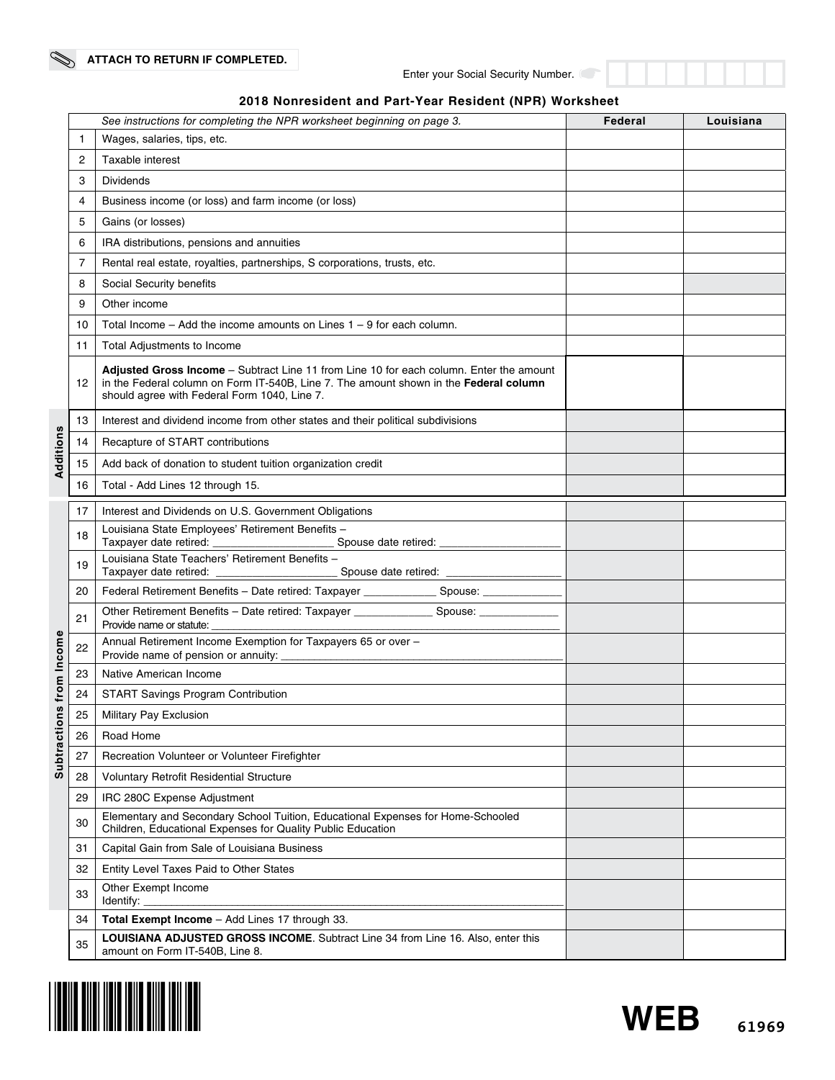| 2018 Nonresident and Part-Year Resident (NPR) Worksheet |  |  |  |  |  |
|---------------------------------------------------------|--|--|--|--|--|
|---------------------------------------------------------|--|--|--|--|--|

|             |              | See instructions for completing the NPR worksheet beginning on page 3.                                                                                                                                                           | Federal | Louisiana |  |  |  |  |  |  |  |
|-------------|--------------|----------------------------------------------------------------------------------------------------------------------------------------------------------------------------------------------------------------------------------|---------|-----------|--|--|--|--|--|--|--|
|             | $\mathbf{1}$ | Wages, salaries, tips, etc.                                                                                                                                                                                                      |         |           |  |  |  |  |  |  |  |
|             | 2            | Taxable interest                                                                                                                                                                                                                 |         |           |  |  |  |  |  |  |  |
|             | 3            | Dividends                                                                                                                                                                                                                        |         |           |  |  |  |  |  |  |  |
|             | 4            | Business income (or loss) and farm income (or loss)                                                                                                                                                                              |         |           |  |  |  |  |  |  |  |
|             | 5            | Gains (or losses)                                                                                                                                                                                                                |         |           |  |  |  |  |  |  |  |
|             | 6            | IRA distributions, pensions and annuities                                                                                                                                                                                        |         |           |  |  |  |  |  |  |  |
|             | 7            | Rental real estate, royalties, partnerships, S corporations, trusts, etc.                                                                                                                                                        |         |           |  |  |  |  |  |  |  |
|             | 8            | Social Security benefits                                                                                                                                                                                                         |         |           |  |  |  |  |  |  |  |
|             | 9            | Other income                                                                                                                                                                                                                     |         |           |  |  |  |  |  |  |  |
|             | 10           | Total Income – Add the income amounts on Lines $1 - 9$ for each column.                                                                                                                                                          |         |           |  |  |  |  |  |  |  |
|             | 11           | Total Adjustments to Income                                                                                                                                                                                                      |         |           |  |  |  |  |  |  |  |
|             | 12           | Adjusted Gross Income - Subtract Line 11 from Line 10 for each column. Enter the amount<br>in the Federal column on Form IT-540B, Line 7. The amount shown in the Federal column<br>should agree with Federal Form 1040, Line 7. |         |           |  |  |  |  |  |  |  |
|             | 13           | Interest and dividend income from other states and their political subdivisions                                                                                                                                                  |         |           |  |  |  |  |  |  |  |
|             | 14           | Recapture of START contributions                                                                                                                                                                                                 |         |           |  |  |  |  |  |  |  |
| Additions   | 15           | Add back of donation to student tuition organization credit                                                                                                                                                                      |         |           |  |  |  |  |  |  |  |
|             | 16           | Total - Add Lines 12 through 15.                                                                                                                                                                                                 |         |           |  |  |  |  |  |  |  |
|             | 17           | Interest and Dividends on U.S. Government Obligations                                                                                                                                                                            |         |           |  |  |  |  |  |  |  |
|             | 18           | Louisiana State Employees' Retirement Benefits -                                                                                                                                                                                 |         |           |  |  |  |  |  |  |  |
|             |              | Spouse date retired: _______________<br>Louisiana State Teachers' Retirement Benefits -                                                                                                                                          |         |           |  |  |  |  |  |  |  |
|             | 19           | Spouse date retired: _____________________                                                                                                                                                                                       |         |           |  |  |  |  |  |  |  |
|             | 20           | Federal Retirement Benefits - Date retired: Taxpayer ________________Spouse: _______________________                                                                                                                             |         |           |  |  |  |  |  |  |  |
|             | 21           | Other Retirement Benefits - Date retired: Taxpayer ___________________ Spouse: ______________<br>Provide name or statute:                                                                                                        |         |           |  |  |  |  |  |  |  |
| from Income | 22           | Annual Retirement Income Exemption for Taxpayers 65 or over -<br>Provide name of pension or annuity:                                                                                                                             |         |           |  |  |  |  |  |  |  |
|             | 23           | Native American Income                                                                                                                                                                                                           |         |           |  |  |  |  |  |  |  |
|             | 24           | START Savings Program Contribution                                                                                                                                                                                               |         |           |  |  |  |  |  |  |  |
| S)<br>ē     | 25           | Military Pay Exclusion                                                                                                                                                                                                           |         |           |  |  |  |  |  |  |  |
| Subtractio  | 26           | Road Home                                                                                                                                                                                                                        |         |           |  |  |  |  |  |  |  |
|             | 27           | Recreation Volunteer or Volunteer Firefighter                                                                                                                                                                                    |         |           |  |  |  |  |  |  |  |
|             | 28           | Voluntary Retrofit Residential Structure                                                                                                                                                                                         |         |           |  |  |  |  |  |  |  |
|             | 29           | IRC 280C Expense Adjustment                                                                                                                                                                                                      |         |           |  |  |  |  |  |  |  |
|             | 30           | Elementary and Secondary School Tuition, Educational Expenses for Home-Schooled<br>Children, Educational Expenses for Quality Public Education                                                                                   |         |           |  |  |  |  |  |  |  |
|             | 31           | Capital Gain from Sale of Louisiana Business                                                                                                                                                                                     |         |           |  |  |  |  |  |  |  |
|             | 32           | Entity Level Taxes Paid to Other States                                                                                                                                                                                          |         |           |  |  |  |  |  |  |  |
|             | 33           | Other Exempt Income<br>Identify: $\overline{\phantom{a}}$                                                                                                                                                                        |         |           |  |  |  |  |  |  |  |
|             | 34           | Total Exempt Income - Add Lines 17 through 33.                                                                                                                                                                                   |         |           |  |  |  |  |  |  |  |
|             | 35           | LOUISIANA ADJUSTED GROSS INCOME. Subtract Line 34 from Line 16. Also, enter this<br>amount on Form IT-540B, Line 8.                                                                                                              |         |           |  |  |  |  |  |  |  |

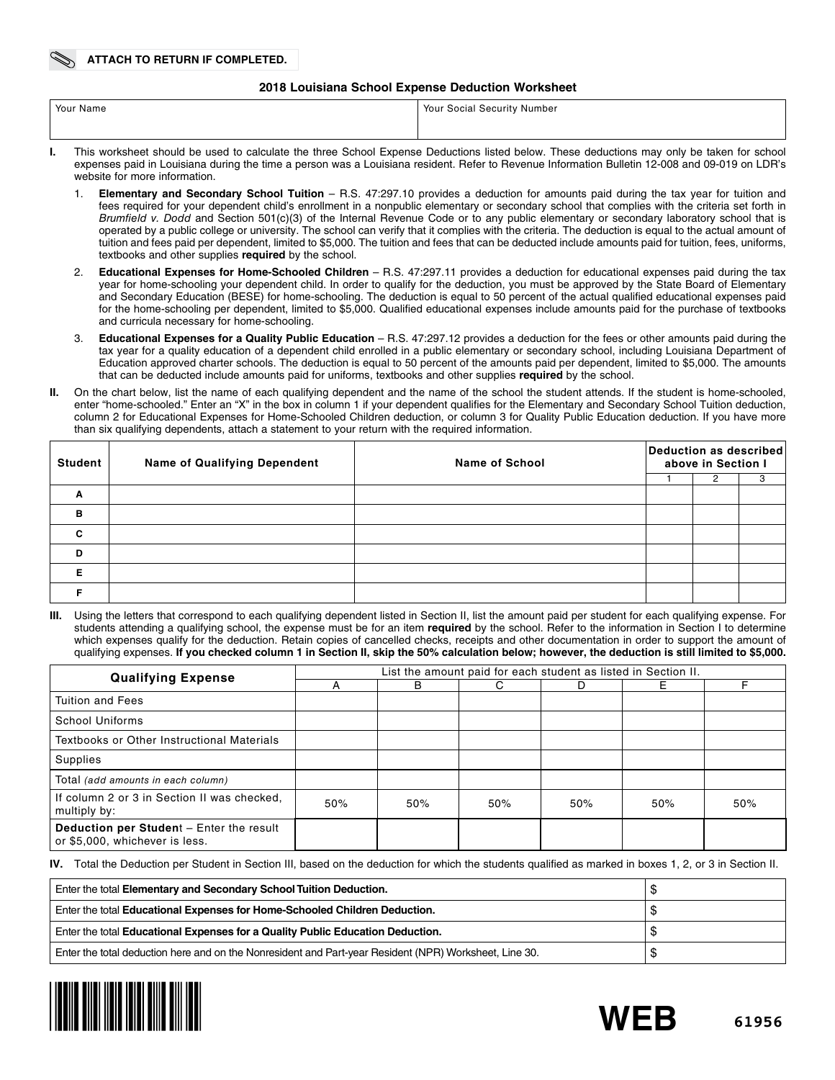#### **2018 Louisiana School Expense Deduction Worksheet**

| Your Name | Your Social Security Number                                                                                                                |
|-----------|--------------------------------------------------------------------------------------------------------------------------------------------|
|           |                                                                                                                                            |
|           | This werkebast should be used to selevicte the three Cabool Expense Deductions listed below. These deductions may enly be taken for sebect |

- **I.** This worksheet should be used to calculate the three School Expense Deductions listed below. These deductions may only be taken for school expenses paid in Louisiana during the time a person was a Louisiana resident. Refer to Revenue Information Bulletin 12-008 and 09-019 on LDR's website for more information.
	- 1. **Elementary and Secondary School Tuition** R.S. 47:297.10 provides a deduction for amounts paid during the tax year for tuition and fees required for your dependent child's enrollment in a nonpublic elementary or secondary school that complies with the criteria set forth in *Brumfield v. Dodd* and Section 501(c)(3) of the Internal Revenue Code or to any public elementary or secondary laboratory school that is operated by a public college or university. The school can verify that it complies with the criteria. The deduction is equal to the actual amount of tuition and fees paid per dependent, limited to \$5,000. The tuition and fees that can be deducted include amounts paid for tuition, fees, uniforms, textbooks and other supplies **required** by the school.
	- 2. **Educational Expenses for Home-Schooled Children** R.S. 47:297.11 provides a deduction for educational expenses paid during the tax year for home-schooling your dependent child. In order to qualify for the deduction, you must be approved by the State Board of Elementary and Secondary Education (BESE) for home-schooling. The deduction is equal to 50 percent of the actual qualified educational expenses paid for the home-schooling per dependent, limited to \$5,000. Qualified educational expenses include amounts paid for the purchase of textbooks and curricula necessary for home-schooling.
	- 3. **Educational Expenses for a Quality Public Education** R.S. 47:297.12 provides a deduction for the fees or other amounts paid during the tax year for a quality education of a dependent child enrolled in a public elementary or secondary school, including Louisiana Department of Education approved charter schools. The deduction is equal to 50 percent of the amounts paid per dependent, limited to \$5,000. The amounts that can be deducted include amounts paid for uniforms, textbooks and other supplies **required** by the school.
- **II.** On the chart below, list the name of each qualifying dependent and the name of the school the student attends. If the student is home-schooled, enter "home-schooled." Enter an "X" in the box in column 1 if your dependent qualifies for the Elementary and Secondary School Tuition deduction, column 2 for Educational Expenses for Home-Schooled Children deduction, or column 3 for Quality Public Education deduction. If you have more than six qualifying dependents, attach a statement to your return with the required information.

| <b>Student</b> | <b>Name of Qualifying Dependent</b> | <b>Name of School</b> | Deduction as described<br>above in Section I |   |  |  |  |
|----------------|-------------------------------------|-----------------------|----------------------------------------------|---|--|--|--|
|                |                                     |                       |                                              | 2 |  |  |  |
| Α              |                                     |                       |                                              |   |  |  |  |
| B              |                                     |                       |                                              |   |  |  |  |
| C              |                                     |                       |                                              |   |  |  |  |
| D              |                                     |                       |                                              |   |  |  |  |
| F              |                                     |                       |                                              |   |  |  |  |
|                |                                     |                       |                                              |   |  |  |  |

Using the letters that correspond to each qualifying dependent listed in Section II, list the amount paid per student for each qualifying expense. For students attending a qualifying school, the expense must be for an item **required** by the school. Refer to the information in Section I to determine which expenses qualify for the deduction. Retain copies of cancelled checks, receipts and other documentation in order to support the amount of qualifying expenses. **If you checked column 1 in Section II, skip the 50% calculation below; however, the deduction is still limited to \$5,000.**

| <b>Qualifying Expense</b>                                                  |     |     |     |     | List the amount paid for each student as listed in Section II. |     |
|----------------------------------------------------------------------------|-----|-----|-----|-----|----------------------------------------------------------------|-----|
|                                                                            |     | B   | C.  | D   | F.                                                             |     |
| <b>Tuition and Fees</b>                                                    |     |     |     |     |                                                                |     |
| School Uniforms                                                            |     |     |     |     |                                                                |     |
| Textbooks or Other Instructional Materials                                 |     |     |     |     |                                                                |     |
| Supplies                                                                   |     |     |     |     |                                                                |     |
| Total (add amounts in each column)                                         |     |     |     |     |                                                                |     |
| If column 2 or 3 in Section II was checked.<br>multiply by:                | 50% | 50% | 50% | 50% | 50%                                                            | 50% |
| Deduction per Student - Enter the result<br>or \$5,000, whichever is less. |     |     |     |     |                                                                |     |

**IV.** Total the Deduction per Student in Section III, based on the deduction for which the students qualified as marked in boxes 1, 2, or 3 in Section II.

| Enter the total Elementary and Secondary School Tuition Deduction.                                     |    |
|--------------------------------------------------------------------------------------------------------|----|
| Enter the total Educational Expenses for Home-Schooled Children Deduction.                             |    |
| Enter the total Educational Expenses for a Quality Public Education Deduction.                         | ۰D |
| Enter the total deduction here and on the Nonresident and Part-year Resident (NPR) Worksheet, Line 30. | ۰D |



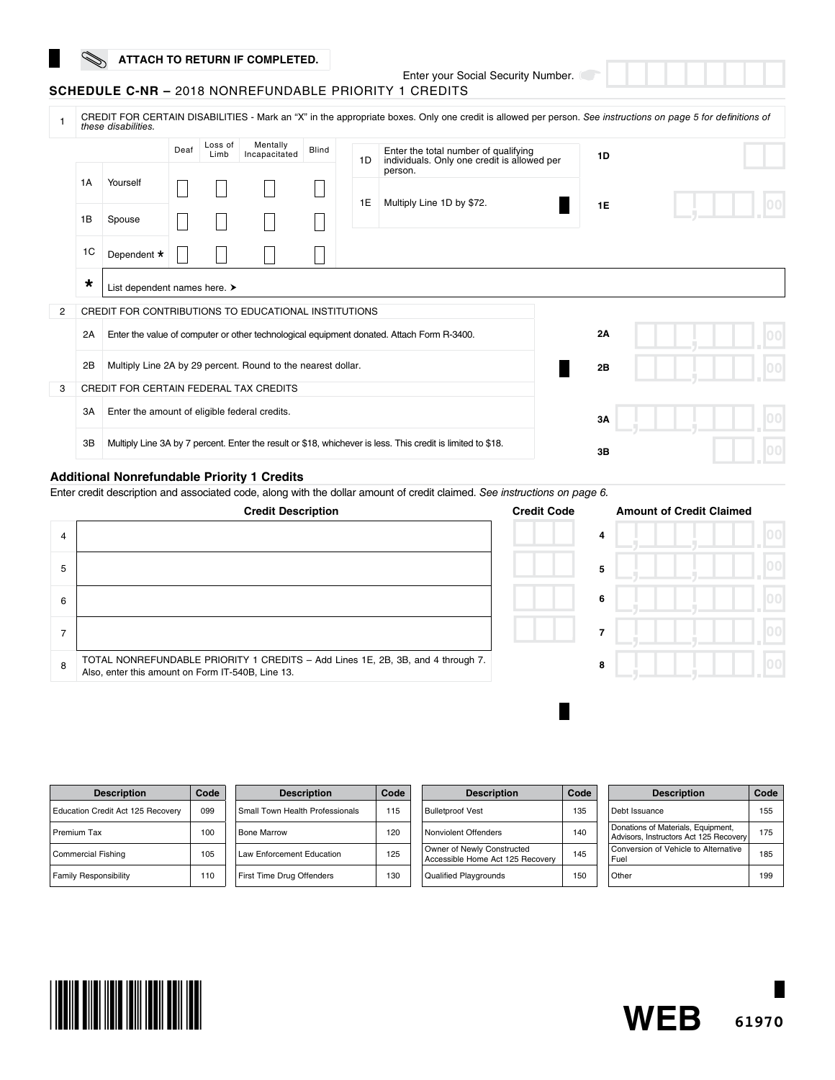# **ATTACH TO RETURN IF COMPLETED.**

Enter your Social Security Number.<br>1 CREDITS

| <b>SCHEDULE C-NR –</b> 2018 NONREFUNDABLE PRIORITY 1 CREDITS |  |
|--------------------------------------------------------------|--|
|--------------------------------------------------------------|--|

|   |                                                                                                                   | these disabilities.                                          |      |                 |                           |       |    | CREDIT FOR CERTAIN DISABILITIES - Mark an "X" in the appropriate boxes. Only one credit is allowed per person. See instructions on page 5 for definitions of |           |  |
|---|-------------------------------------------------------------------------------------------------------------------|--------------------------------------------------------------|------|-----------------|---------------------------|-------|----|--------------------------------------------------------------------------------------------------------------------------------------------------------------|-----------|--|
|   |                                                                                                                   |                                                              | Deaf | Loss of<br>Limb | Mentally<br>Incapacitated | Blind | 1D | Enter the total number of qualifying<br>individuals. Only one credit is allowed per                                                                          | 1D        |  |
|   | 1A                                                                                                                | Yourself                                                     |      |                 |                           |       | 1E | person.<br>Multiply Line 1D by \$72.                                                                                                                         |           |  |
|   | 1B                                                                                                                | Spouse                                                       |      |                 |                           |       |    |                                                                                                                                                              | <b>1E</b> |  |
|   | 1C                                                                                                                | Dependent *                                                  |      |                 |                           |       |    |                                                                                                                                                              |           |  |
|   | $\star$                                                                                                           | List dependent names here. >                                 |      |                 |                           |       |    |                                                                                                                                                              |           |  |
| 2 |                                                                                                                   | CREDIT FOR CONTRIBUTIONS TO EDUCATIONAL INSTITUTIONS         |      |                 |                           |       |    |                                                                                                                                                              |           |  |
|   | 2A                                                                                                                |                                                              |      |                 |                           |       |    | Enter the value of computer or other technological equipment donated. Attach Form R-3400.                                                                    | 2A        |  |
|   | 2B                                                                                                                | Multiply Line 2A by 29 percent. Round to the nearest dollar. |      |                 |                           |       |    |                                                                                                                                                              | 2B        |  |
| 3 |                                                                                                                   | CREDIT FOR CERTAIN FEDERAL TAX CREDITS                       |      |                 |                           |       |    |                                                                                                                                                              |           |  |
|   | 3A                                                                                                                | Enter the amount of eligible federal credits.                |      |                 |                           |       |    |                                                                                                                                                              | 3A        |  |
|   | 3B<br>Multiply Line 3A by 7 percent. Enter the result or \$18, whichever is less. This credit is limited to \$18. |                                                              |      |                 |                           |       |    | 3В                                                                                                                                                           |           |  |

#### **Additional Nonrefundable Priority 1 Credits**

Enter credit description and associated code, along with the dollar amount of credit claimed. *See instructions on page 6.*

|   | <b>Credit Description</b>                                                                                                            | <b>Credit Code</b> | <b>Amount of Credit Claimed</b> |  |
|---|--------------------------------------------------------------------------------------------------------------------------------------|--------------------|---------------------------------|--|
| 4 |                                                                                                                                      | 4                  |                                 |  |
| 5 |                                                                                                                                      | 5                  |                                 |  |
| 6 |                                                                                                                                      | 6                  |                                 |  |
|   |                                                                                                                                      |                    |                                 |  |
| 8 | TOTAL NONREFUNDABLE PRIORITY 1 CREDITS - Add Lines 1E, 2B, 3B, and 4 through 7.<br>Also, enter this amount on Form IT-540B, Line 13. | 8                  |                                 |  |

٠

| <b>Description</b>                | Code | <b>Description</b>              | Code | <b>Description</b>                                             | Code | <b>Description</b>                                                           | Code |
|-----------------------------------|------|---------------------------------|------|----------------------------------------------------------------|------|------------------------------------------------------------------------------|------|
| Education Credit Act 125 Recovery | 099  | Small Town Health Professionals | 115  | <b>Bulletproof Vest</b>                                        | 135  | Debt Issuance                                                                | 155  |
| Premium Tax                       | 100  | <b>Bone Marrow</b>              | 120  | Nonviolent Offenders                                           | 140  | Donations of Materials, Equipment,<br>Advisors, Instructors Act 125 Recovery | 175  |
| <b>Commercial Fishing</b>         | 105  | Law Enforcement Education       | 125  | Owner of Newly Constructed<br>Accessible Home Act 125 Recovery | 145  | Conversion of Vehicle to Alternative<br>Fuel                                 | 185  |
| <b>Family Responsibility</b>      | 110  | First Time Drug Offenders       | 130  | <b>Qualified Playgrounds</b>                                   | 150  | Other                                                                        | 199  |



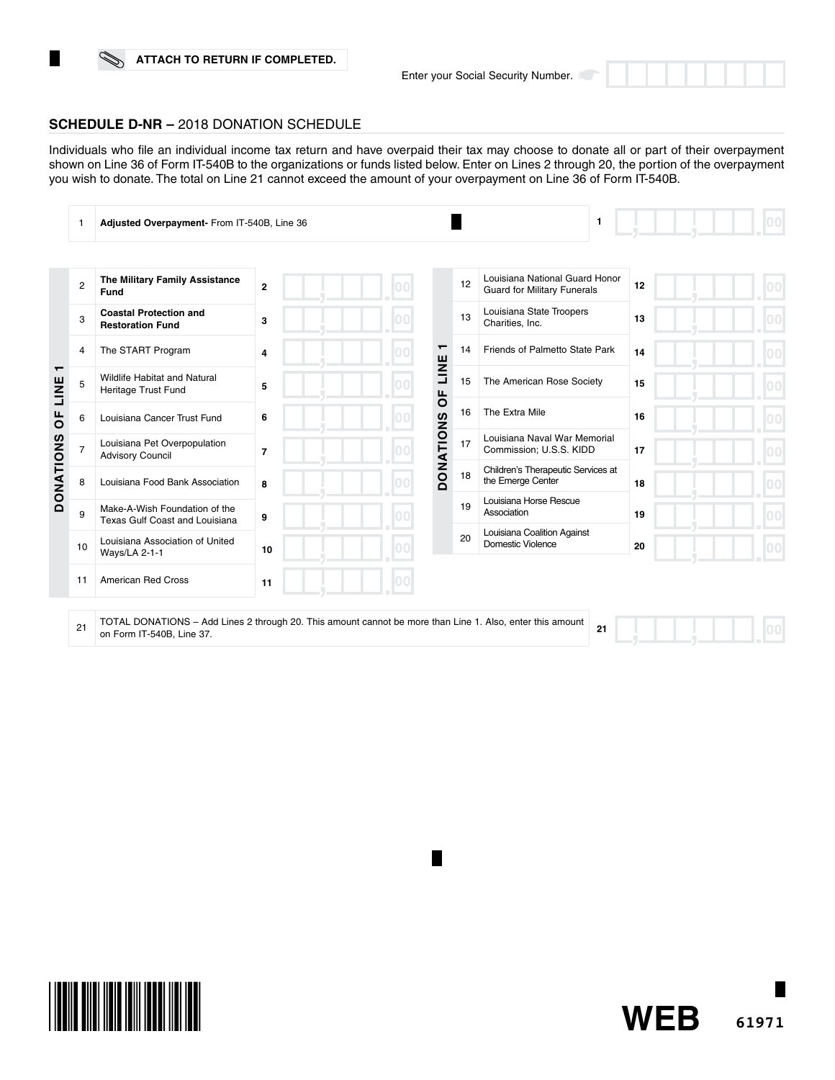# **ATTACH TO RETURN IF COMPLETED.**



# **SCHEDULE D-NR –** 2018 DONATION SCHEDULE

Individuals who file an individual income tax return and have overpaid their tax may choose to donate all or part of their overpayment shown on Line 36 of Form IT-540B to the organizations or funds listed below. Enter on Lines 2 through 20, the portion of the overpayment you wish to donate. The total on Line 21 cannot exceed the amount of your overpayment on Line 36 of Form IT-540B.

|                                          | 1              | Adjusted Overpayment- From IT-540B, Line 36                                                                                            |                |         |                                |    | 1                                                                    |    |  |
|------------------------------------------|----------------|----------------------------------------------------------------------------------------------------------------------------------------|----------------|---------|--------------------------------|----|----------------------------------------------------------------------|----|--|
|                                          |                |                                                                                                                                        |                |         |                                |    |                                                                      |    |  |
|                                          | $\overline{2}$ | The Military Family Assistance<br>Fund                                                                                                 | $\mathbf{2}$   |         |                                | 12 | Louisiana National Guard Honor<br><b>Guard for Military Funerals</b> | 12 |  |
|                                          | 3              | <b>Coastal Protection and</b><br><b>Restoration Fund</b>                                                                               | 3              | 10.0    |                                | 13 | Louisiana State Troopers<br>Charities, Inc.                          | 13 |  |
|                                          | 4              | The START Program                                                                                                                      | 4              | ┯<br>14 | Friends of Palmetto State Park | 14 |                                                                      |    |  |
| $\mathbf \tau$<br>LINE<br>$\overline{0}$ | 5              | <b>Wildlife Habitat and Natural</b><br>Heritage Trust Fund                                                                             | 5              |         | LINE<br>ЪP                     | 15 | The American Rose Society                                            | 15 |  |
|                                          | 6              | Louisiana Cancer Trust Fund                                                                                                            | 6              |         |                                | 16 | The Extra Mile                                                       | 16 |  |
|                                          | $\overline{7}$ | Louisiana Pet Overpopulation<br><b>Advisory Council</b>                                                                                | $\overline{7}$ |         | <b>DONATIONS</b>               | 17 | Louisiana Naval War Memorial<br>Commission; U.S.S. KIDD              | 17 |  |
| <b>DONATIONS</b>                         | 8              | Louisiana Food Bank Association                                                                                                        | 8              |         |                                | 18 | Children's Therapeutic Services at<br>the Emerge Center              | 18 |  |
|                                          | 9              | Make-A-Wish Foundation of the<br>Texas Gulf Coast and Louisiana                                                                        | 9              |         |                                | 19 | Louisiana Horse Rescue<br>Association                                | 19 |  |
|                                          | 10             | Louisiana Association of United<br>Ways/LA 2-1-1                                                                                       | 10             |         |                                | 20 | Louisiana Coalition Against<br>Domestic Violence                     | 20 |  |
|                                          | 11             | <b>American Red Cross</b>                                                                                                              | 11             |         |                                |    |                                                                      |    |  |
|                                          | 21             | TOTAL DONATIONS - Add Lines 2 through 20. This amount cannot be more than Line 1. Also, enter this amount<br>on Form IT-540B, Line 37. |                |         |                                |    | 21                                                                   |    |  |

П



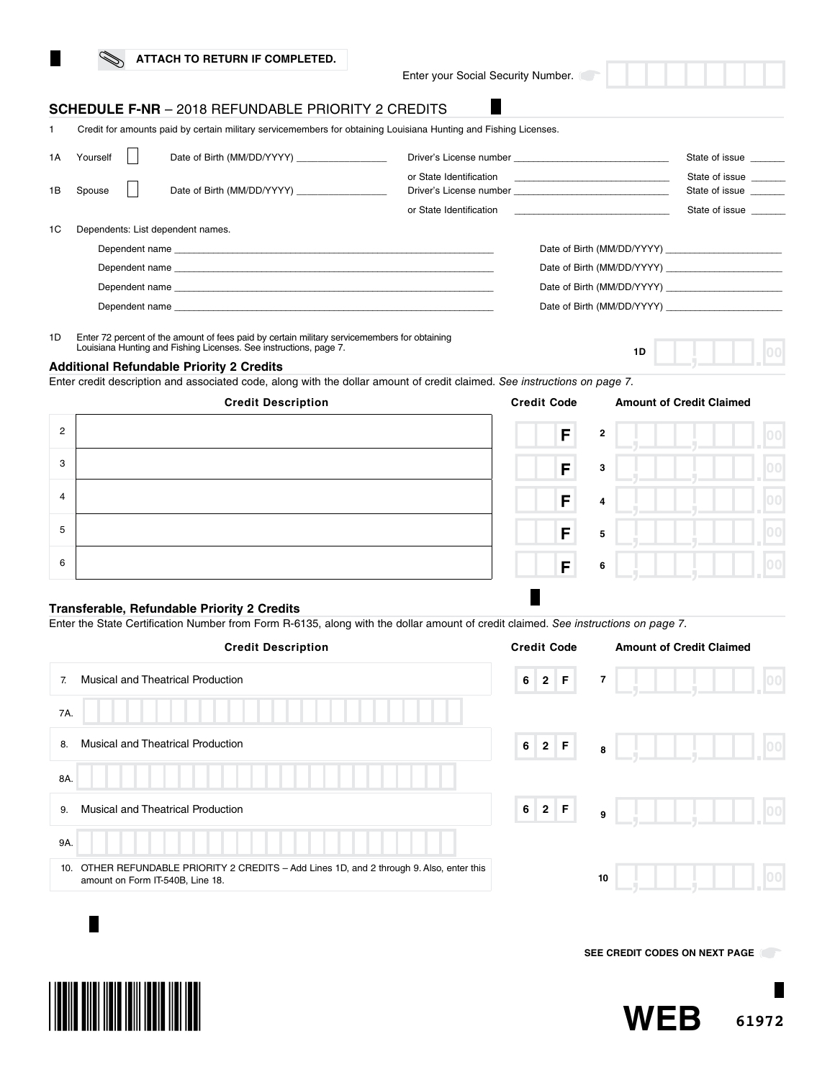| ATTACH TO RETURN IF COMPLETED. |
|--------------------------------|
|--------------------------------|

Enter your Social Security Number.

# **SCHEDULE F-NR** – 2018 REFUNDABLE PRIORITY 2 CREDITS

1 Credit for amounts paid by certain military servicemembers for obtaining Louisiana Hunting and Fishing Licenses.

| 1A | Yourself | Date of Birth (MM/DD/YYYY)        |                                                                                                                                |                                                                            | State of issue                   |
|----|----------|-----------------------------------|--------------------------------------------------------------------------------------------------------------------------------|----------------------------------------------------------------------------|----------------------------------|
| 1B | Spouse   | Date of Birth (MM/DD/YYYY)        | or State Identification <b>Container and State Identification</b><br>Driver's License number [19] [19] Driver's License number |                                                                            | State of issue<br>State of issue |
|    |          |                                   | or State Identification                                                                                                        | the control of the control of the control of the control of the control of | State of issue                   |
| 1C |          | Dependents: List dependent names. |                                                                                                                                |                                                                            |                                  |
|    |          |                                   |                                                                                                                                | Date of Birth (MM/DD/YYYY)                                                 |                                  |
|    |          |                                   |                                                                                                                                |                                                                            |                                  |
|    |          |                                   |                                                                                                                                | Date of Birth (MM/DD/YYYY)                                                 |                                  |
|    |          | Dependent name                    |                                                                                                                                | Date of Birth (MM/DD/YYYY)                                                 |                                  |

1D Enter 72 percent of the amount of fees paid by certain military servicemembers for obtaining Louisiana Hunting and Fishing Licenses. See instructions, page 7.

| Additional Refundable Priority 2 Credits |  |  |  |  |  |
|------------------------------------------|--|--|--|--|--|
|------------------------------------------|--|--|--|--|--|

Enter credit description and associated code, along with the dollar amount of credit claimed. *See instructions on page 7.*

|                | <b>Credit Description</b> | <b>Credit Code</b>  | <b>Amount of Credit Claimed</b> |  |
|----------------|---------------------------|---------------------|---------------------------------|--|
| $\overline{2}$ |                           | F                   | $\mathbf{2}$                    |  |
| 3              |                           | F                   | 3                               |  |
| 4              |                           | F<br>$\overline{a}$ |                                 |  |
| 5              |                           | F                   | 5                               |  |
| 6              |                           | F<br>6              |                                 |  |

#### **Transferable, Refundable Priority 2 Credits**

Enter the State Certification Number from Form R-6135, along with the dollar amount of credit claimed. *See instructions on page 7.*

| <b>Credit Description</b>                                                                                                        | <b>Credit Code</b>     | <b>Amount of Credit Claimed</b> |
|----------------------------------------------------------------------------------------------------------------------------------|------------------------|---------------------------------|
| <b>Musical and Theatrical Production</b><br>$\overline{7}$                                                                       | 2 F <br>6 <sup>1</sup> | $\overline{7}$<br> 00           |
| 7A.                                                                                                                              |                        |                                 |
| <b>Musical and Theatrical Production</b><br>8.                                                                                   | 6 2 F                  | 00 <br>8                        |
| 8A.                                                                                                                              |                        |                                 |
| <b>Musical and Theatrical Production</b><br>9.                                                                                   | 6 2 F                  | 00 <br>9                        |
| 9A.                                                                                                                              |                        |                                 |
| OTHER REFUNDABLE PRIORITY 2 CREDITS - Add Lines 1D, and 2 through 9. Also, enter this<br>10.<br>amount on Form IT-540B, Line 18. |                        | 100<br>10                       |
|                                                                                                                                  |                        |                                 |

**SEE CREDIT CODES ON NEXT PAGE** 

**1D**



**THE REAL PROPERTY OF A PROPERTY**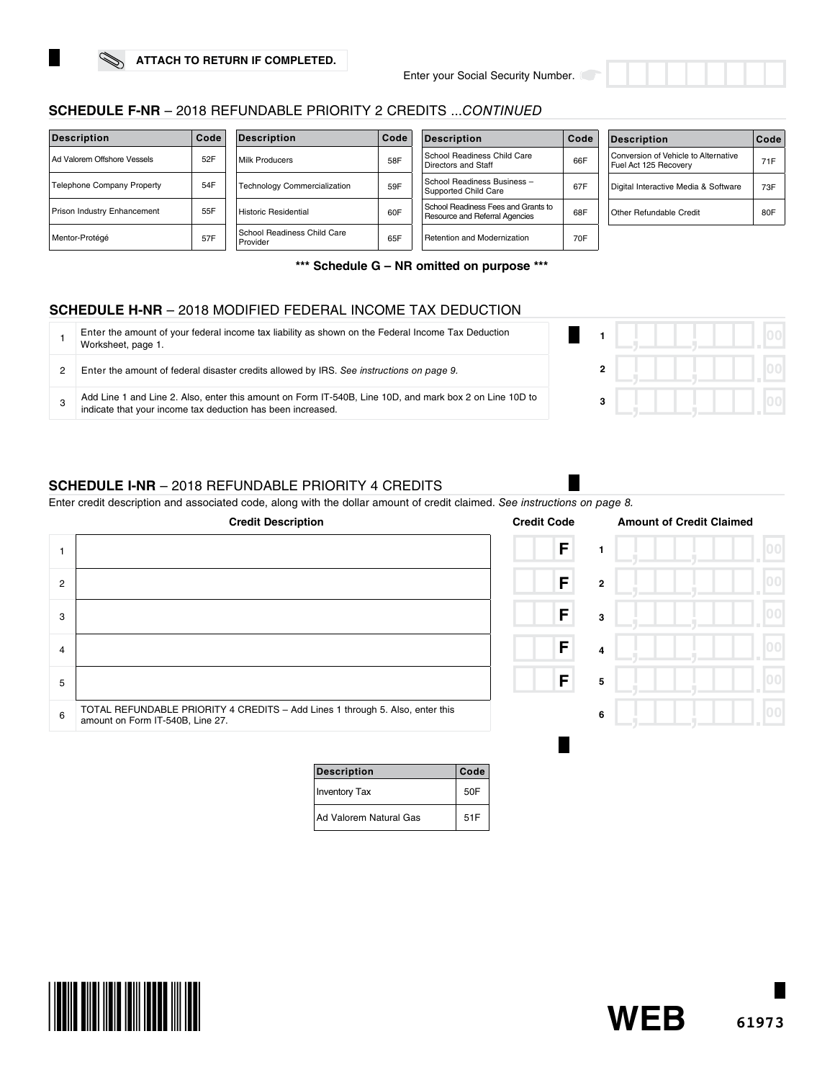

| <b>Description</b>          | Code | <b>Description</b>                      | Code | <b>Description</b>                                                    | Code | <b>Description</b>                                            | ∣Code |
|-----------------------------|------|-----------------------------------------|------|-----------------------------------------------------------------------|------|---------------------------------------------------------------|-------|
| Ad Valorem Offshore Vessels | 52F  | Milk Producers                          | 58F  | School Readiness Child Care<br>Directors and Staff                    | 66F  | Conversion of Vehicle to Alternative<br>Fuel Act 125 Recovery | 71F   |
| Telephone Company Property  | 54F  | <b>Technology Commercialization</b>     | 59F  | School Readiness Business -<br>Supported Child Care                   | 67F  | Digital Interactive Media & Software                          | 73F   |
| Prison Industry Enhancement | 55F  | Historic Residential                    | 60F  | School Readiness Fees and Grants to<br>Resource and Referral Agencies | 68F  | Other Refundable Credit                                       | 80F   |
| Mentor-Protégé              | 57F  | School Readiness Child Care<br>Provider | 65F  | Retention and Modernization                                           | 70F  |                                                               |       |

**\*\*\* Schedule G – NR omitted on purpose \*\*\***

# **SCHEDULE H-NR** – 2018 MODIFIED FEDERAL INCOME TAX DEDUCTION

| Enter the amount of your federal income tax liability as shown on the Federal Income Tax Deduction<br>Worksheet, page 1.                                               |  |  |  |  |
|------------------------------------------------------------------------------------------------------------------------------------------------------------------------|--|--|--|--|
| Enter the amount of federal disaster credits allowed by IRS. See instructions on page 9.                                                                               |  |  |  |  |
| Add Line 1 and Line 2. Also, enter this amount on Form IT-540B, Line 10D, and mark box 2 on Line 10D to<br>indicate that your income tax deduction has been increased. |  |  |  |  |

# **SCHEDULE I-NR** – 2018 REFUNDABLE PRIORITY 4 CREDITS

Enter credit description and associated code, along with the dollar amount of credit claimed. *See instructions on page 8.*

|                | <b>Credit Description</b>                                                                                         | <b>Credit Code</b> |                | <b>Amount of Credit Claimed</b> |  |
|----------------|-------------------------------------------------------------------------------------------------------------------|--------------------|----------------|---------------------------------|--|
|                |                                                                                                                   | F                  |                |                                 |  |
| $\overline{2}$ |                                                                                                                   | F                  | $\overline{2}$ |                                 |  |
| 3              |                                                                                                                   | F                  | 3              |                                 |  |
| 4              |                                                                                                                   | F                  | $\overline{4}$ |                                 |  |
| 5              |                                                                                                                   | $\mathsf{F}$       | 5              |                                 |  |
| 6              | TOTAL REFUNDABLE PRIORITY 4 CREDITS - Add Lines 1 through 5. Also, enter this<br>amount on Form IT-540B, Line 27. |                    | 6              |                                 |  |
|                |                                                                                                                   |                    |                |                                 |  |

| <b>Description</b>     | Code |
|------------------------|------|
| <b>Inventory Tax</b>   | 50F  |
| Ad Valorem Natural Gas | 51F  |





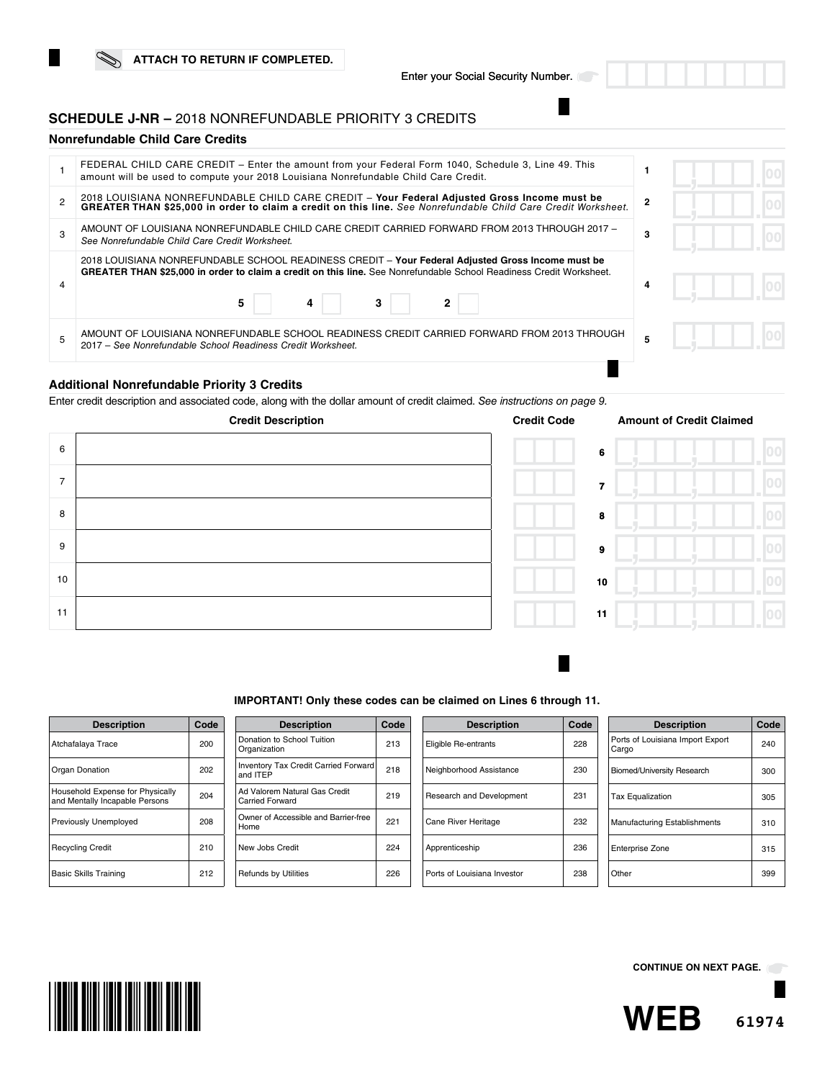## **SCHEDULE J-NR –** 2018 NONREFUNDABLE PRIORITY 3 CREDITS

## **Nonrefundable Child Care Credits**

|   | FEDERAL CHILD CARE CREDIT – Enter the amount from your Federal Form 1040, Schedule 3, Line 49. This<br>amount will be used to compute your 2018 Louisiana Nonrefundable Child Care Credit.                                                     |   |  |  |
|---|------------------------------------------------------------------------------------------------------------------------------------------------------------------------------------------------------------------------------------------------|---|--|--|
|   | 2018 LOUISIANA NONREFUNDABLE CHILD CARE CREDIT - Your Federal Adjusted Gross Income must be<br>GREATER THAN \$25,000 in order to claim a credit on this line. See Nonrefundable Child Care Credit Worksheet.                                   |   |  |  |
|   | AMOUNT OF LOUISIANA NONREFUNDABLE CHILD CARE CREDIT CARRIED FORWARD FROM 2013 THROUGH 2017 -<br>See Nonrefundable Child Care Credit Worksheet.                                                                                                 | 3 |  |  |
|   | 2018 LOUISIANA NONREFUNDABLE SCHOOL READINESS CREDIT - Your Federal Adjusted Gross Income must be<br><b>GREATER THAN \$25,000 in order to claim a credit on this line.</b> See Nonrefundable School Readiness Credit Worksheet.<br>5<br>3<br>4 | 4 |  |  |
| 5 | AMOUNT OF LOUISIANA NONREFUNDABLE SCHOOL READINESS CREDIT CARRIED FORWARD FROM 2013 THROUGH<br>2017 – See Nonrefundable School Readiness Credit Worksheet.                                                                                     |   |  |  |
|   |                                                                                                                                                                                                                                                |   |  |  |

#### **Additional Nonrefundable Priority 3 Credits**

Enter credit description and associated code, along with the dollar amount of credit claimed. *See instructions on page 9.* 



|                | <b>Amount of Credit Claimed</b> |        |
|----------------|---------------------------------|--------|
| 6              |                                 | 00     |
| $\overline{7}$ |                                 | 100    |
| 8              |                                 | 100    |
| 9              |                                 | $00\,$ |
| 10             |                                 | 00     |
| 11             |                                 | 00     |
|                |                                 |        |

#### **IMPORTANT! Only these codes can be claimed on Lines 6 through 11.**

| <b>Description</b>                                                 | Code |
|--------------------------------------------------------------------|------|
| Atchafalaya Trace                                                  | 200  |
| Organ Donation                                                     | 202  |
| Household Expense for Physically<br>and Mentally Incapable Persons | 204  |
| Previously Unemployed                                              | 208  |
| <b>Recycling Credit</b>                                            | 210  |
| <b>Basic Skills Training</b>                                       | 212  |

| <b>Description</b>                                             | Code |  |  |  |
|----------------------------------------------------------------|------|--|--|--|
| Donation to School Tuition<br>Organization                     | 213  |  |  |  |
| <b>Inventory Tax Credit Carried Forward</b><br>218<br>and ITFP |      |  |  |  |
| Ad Valorem Natural Gas Credit<br><b>Carried Forward</b>        | 219  |  |  |  |
| Owner of Accessible and Barrier-free<br>Home                   | 221  |  |  |  |
| New Jobs Credit                                                | 224  |  |  |  |
| <b>Refunds by Utilities</b>                                    | 226  |  |  |  |

| <b>Description</b>          | Code |
|-----------------------------|------|
| Eligible Re-entrants        | 228  |
| Neighborhood Assistance     | 230  |
| Research and Development    | 231  |
| Cane River Heritage         | 232  |
| Apprenticeship              | 236  |
| Ports of Louisiana Investor | 238  |

| <b>Description</b>                        | Code |
|-------------------------------------------|------|
| Ports of Louisiana Import Export<br>Cargo | 240  |
| <b>Biomed/University Research</b>         | 300  |
| <b>Tax Equalization</b>                   | 305  |
| <b>Manufacturing Establishments</b>       | 310  |
| <b>Enterprise Zone</b>                    | 315  |
| Other                                     | 399  |



**CONTINUE ON NEXT PAGE.**

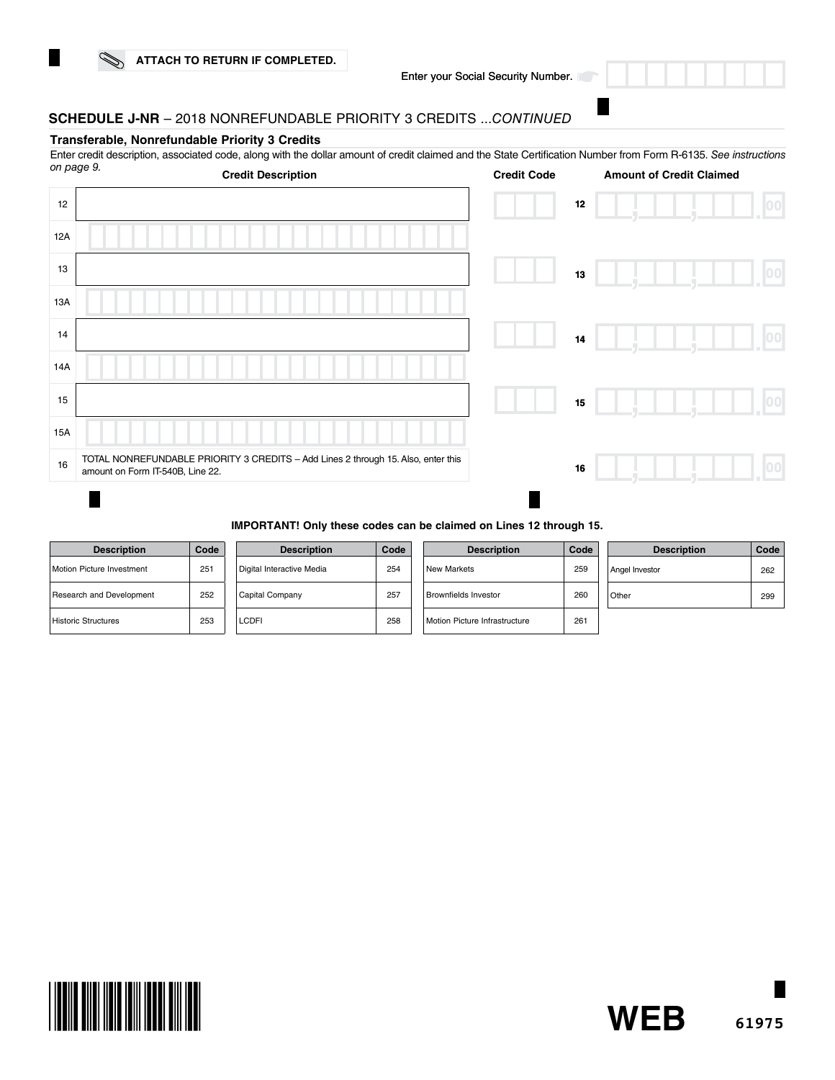

# **SCHEDULE J-NR** – 2018 NONREFUNDABLE PRIORITY 3 CREDITS ...*CONTINUED*

#### **Transferable, Nonrefundable Priority 3 Credits**

Enter credit description, associated code, along with the dollar amount of credit claimed and the State Certification Number from Form R-6135. *See instructions* 

| on page 9. | <b>Credit Description</b>                                                                                             | <b>Credit Code</b> | <b>Amount of Credit Claimed</b> |      |
|------------|-----------------------------------------------------------------------------------------------------------------------|--------------------|---------------------------------|------|
| 12         |                                                                                                                       |                    | $12\,$                          | 00   |
| 12A        |                                                                                                                       |                    |                                 |      |
| 13         |                                                                                                                       |                    | 13                              | 00   |
| 13A        |                                                                                                                       |                    |                                 |      |
| 14         |                                                                                                                       |                    | 14                              | 00   |
| 14A        |                                                                                                                       |                    |                                 |      |
| 15         |                                                                                                                       |                    | 15                              | 00   |
| 15A        |                                                                                                                       |                    |                                 |      |
| 16         | TOTAL NONREFUNDABLE PRIORITY 3 CREDITS - Add Lines 2 through 15. Also, enter this<br>amount on Form IT-540B, Line 22. |                    | 16                              | [00] |
|            |                                                                                                                       |                    |                                 |      |

#### **IMPORTANT! Only these codes can be claimed on Lines 12 through 15.**

| <b>Description</b>               | Code |
|----------------------------------|------|
| <b>Motion Picture Investment</b> | 251  |
| Research and Development         | 252  |
| <b>Historic Structures</b>       | 253  |

|  | <b>Description</b>        | Code |
|--|---------------------------|------|
|  | Digital Interactive Media | 254  |
|  | Capital Company           | 257  |
|  | LCDFI                     | 258  |

| Code | <b>Description</b>            | Code | <b>Description</b> | Code |
|------|-------------------------------|------|--------------------|------|
| 254  | New Markets                   | 259  | Angel Investor     | 262  |
| 257  | Brownfields Investor          | 260  | Other              | 299  |
| 258  | Motion Picture Infrastructure | 261  |                    |      |



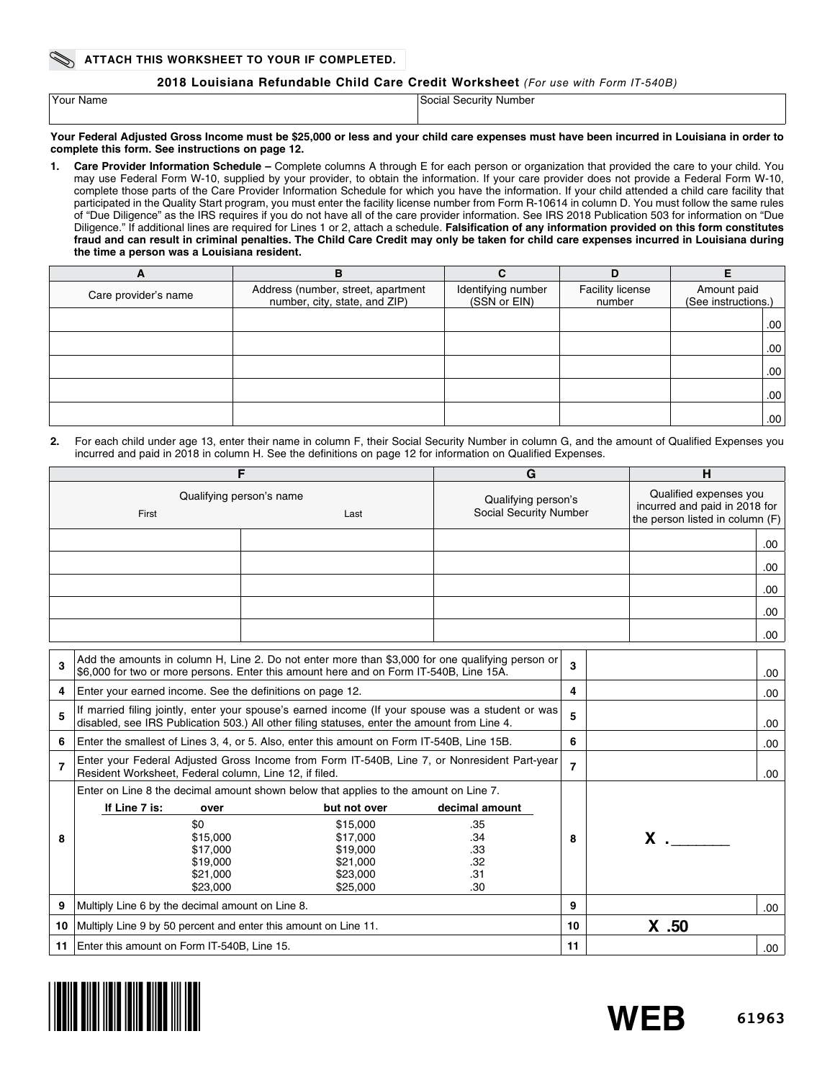### **2018 Louisiana Refundable Child Care Credit Worksheet** *(For use with Form IT-540B)*

| Your Name | Social Security Number |
|-----------|------------------------|
|           |                        |

**Your Federal Adjusted Gross Income must be \$25,000 or less and your child care expenses must have been incurred in Louisiana in order to complete this form. See instructions on page 12.**

**1. Care Provider Information Schedule –** Complete columns A through E for each person or organization that provided the care to your child. You may use Federal Form W-10, supplied by your provider, to obtain the information. If your care provider does not provide a Federal Form W-10, complete those parts of the Care Provider Information Schedule for which you have the information. If your child attended a child care facility that participated in the Quality Start program, you must enter the facility license number from Form R-10614 in column D. You must follow the same rules of "Due Diligence" as the IRS requires if you do not have all of the care provider information. See IRS 2018 Publication 503 for information on "Due Diligence." If additional lines are required for Lines 1 or 2, attach a schedule. **Falsification of any information provided on this form constitutes fraud and can result in criminal penalties. The Child Care Credit may only be taken for child care expenses incurred in Louisiana during the time a person was a Louisiana resident.** 

| A                    | в                                                                   | r                                  | D                          |                                    |
|----------------------|---------------------------------------------------------------------|------------------------------------|----------------------------|------------------------------------|
| Care provider's name | Address (number, street, apartment<br>number, city, state, and ZIP) | Identifying number<br>(SSN or EIN) | Facility license<br>number | Amount paid<br>(See instructions.) |
|                      |                                                                     |                                    |                            | .00                                |
|                      |                                                                     |                                    |                            | .00.                               |
|                      |                                                                     |                                    |                            | .00.                               |
|                      |                                                                     |                                    |                            | .00.                               |
|                      |                                                                     |                                    |                            | .00.                               |

**2.** For each child under age 13, enter their name in column F, their Social Security Number in column G, and the amount of Qualified Expenses you incurred and paid in 2018 in column H. See the definitions on page 12 for information on Qualified Expenses.

|                | F                                                               |                                                                                                                                                                                                   | G              |                                                                                            | н       |
|----------------|-----------------------------------------------------------------|---------------------------------------------------------------------------------------------------------------------------------------------------------------------------------------------------|----------------|--------------------------------------------------------------------------------------------|---------|
|                | First                                                           | Qualifying person's name<br>Qualifying person's<br>Social Security Number<br>Last                                                                                                                 |                | Qualified expenses you<br>incurred and paid in 2018 for<br>the person listed in column (F) |         |
|                |                                                                 |                                                                                                                                                                                                   |                |                                                                                            | .00     |
|                |                                                                 |                                                                                                                                                                                                   |                |                                                                                            | .00.    |
|                |                                                                 |                                                                                                                                                                                                   |                |                                                                                            | .00     |
|                |                                                                 |                                                                                                                                                                                                   |                |                                                                                            | .00.    |
|                |                                                                 |                                                                                                                                                                                                   |                |                                                                                            |         |
|                |                                                                 |                                                                                                                                                                                                   |                |                                                                                            | .00     |
| 3              |                                                                 | Add the amounts in column H, Line 2. Do not enter more than \$3,000 for one qualifying person or<br>\$6,000 for two or more persons. Enter this amount here and on Form IT-540B, Line 15A.        |                | 3                                                                                          | .00     |
| 4              | Enter your earned income. See the definitions on page 12.       |                                                                                                                                                                                                   |                | 4                                                                                          | .00     |
| 5              |                                                                 | If married filing jointly, enter your spouse's earned income (If your spouse was a student or was<br>disabled, see IRS Publication 503.) All other filing statuses, enter the amount from Line 4. | 5              |                                                                                            | .00     |
| 6              |                                                                 | Enter the smallest of Lines 3, 4, or 5. Also, enter this amount on Form IT-540B, Line 15B.                                                                                                        |                | 6                                                                                          |         |
| $\overline{7}$ | Resident Worksheet, Federal column, Line 12, if filed.          | Enter your Federal Adjusted Gross Income from Form IT-540B, Line 7, or Nonresident Part-year                                                                                                      |                | $\overline{7}$                                                                             | .00     |
|                |                                                                 | Enter on Line 8 the decimal amount shown below that applies to the amount on Line 7.                                                                                                              |                |                                                                                            |         |
|                | If Line 7 is:<br>over                                           | but not over                                                                                                                                                                                      | decimal amount |                                                                                            |         |
|                | \$0                                                             | \$15,000                                                                                                                                                                                          | .35            |                                                                                            |         |
| 8              | \$15,000                                                        | \$17,000                                                                                                                                                                                          | .34            | 8                                                                                          | $x =$   |
|                | \$17,000                                                        | \$19,000                                                                                                                                                                                          | .33            |                                                                                            |         |
|                | \$19,000                                                        | \$21,000                                                                                                                                                                                          | .32            |                                                                                            |         |
|                | \$21,000                                                        | \$23,000                                                                                                                                                                                          | .31            |                                                                                            |         |
|                | \$23,000<br>\$25,000<br>.30                                     |                                                                                                                                                                                                   |                |                                                                                            |         |
| 9              | Multiply Line 6 by the decimal amount on Line 8.                |                                                                                                                                                                                                   |                | 9                                                                                          | .00     |
| 10             | Multiply Line 9 by 50 percent and enter this amount on Line 11. |                                                                                                                                                                                                   |                | 10                                                                                         | $X$ .50 |
| 11             | Enter this amount on Form IT-540B, Line 15.                     |                                                                                                                                                                                                   |                | 11                                                                                         | .00.    |